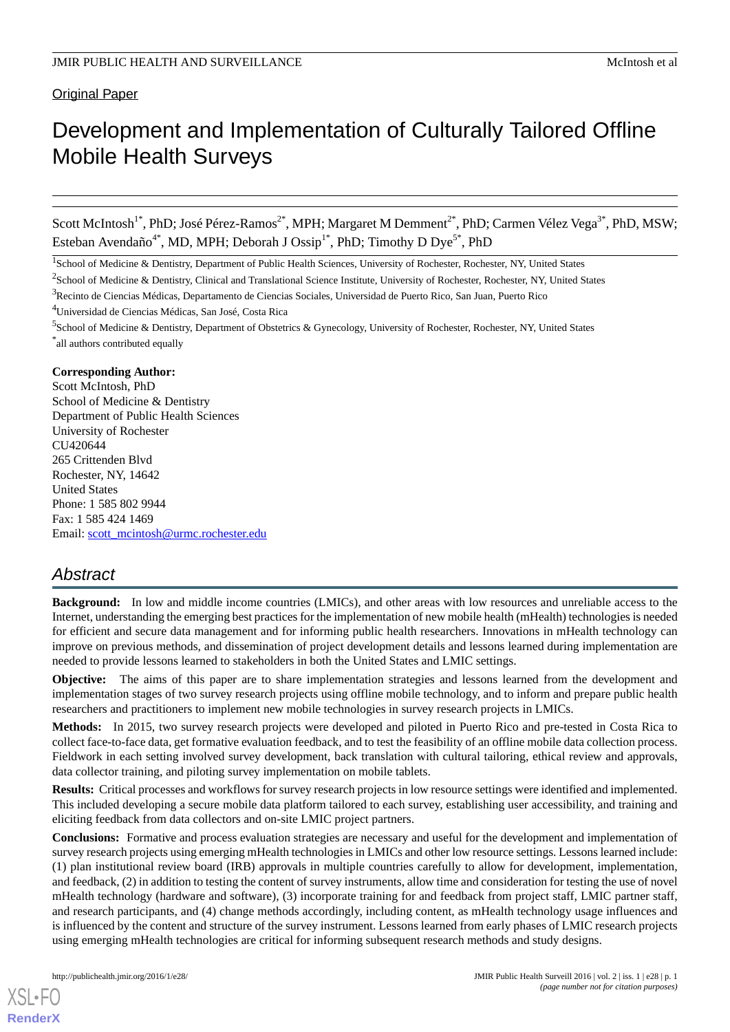Original Paper

# Development and Implementation of Culturally Tailored Offline Mobile Health Surveys

Scott McIntosh<sup>1\*</sup>, PhD; José Pérez-Ramos<sup>2\*</sup>, MPH; Margaret M Demment<sup>2\*</sup>, PhD; Carmen Vélez Vega<sup>3\*</sup>, PhD, MSW; Esteban Avendaño<sup>4\*</sup>, MD, MPH; Deborah J Ossip<sup>1\*</sup>, PhD; Timothy D Dye<sup>5\*</sup>, PhD

<sup>1</sup>School of Medicine & Dentistry, Department of Public Health Sciences, University of Rochester, Rochester, NY, United States

<sup>2</sup> School of Medicine & Dentistry, Clinical and Translational Science Institute, University of Rochester, Rochester, NY, United States

<sup>4</sup>Universidad de Ciencias Médicas, San José, Costa Rica

<sup>5</sup>School of Medicine & Dentistry, Department of Obstetrics & Gynecology, University of Rochester, Rochester, NY, United States \* all authors contributed equally

## **Corresponding Author:**

Scott McIntosh, PhD School of Medicine & Dentistry Department of Public Health Sciences University of Rochester CU420644 265 Crittenden Blvd Rochester, NY, 14642 United States Phone: 1 585 802 9944 Fax: 1 585 424 1469 Email: [scott\\_mcintosh@urmc.rochester.edu](mailto:scott_mcintosh@urmc.rochester.edu)

## *Abstract*

**Background:** In low and middle income countries (LMICs), and other areas with low resources and unreliable access to the Internet, understanding the emerging best practices for the implementation of new mobile health (mHealth) technologies is needed for efficient and secure data management and for informing public health researchers. Innovations in mHealth technology can improve on previous methods, and dissemination of project development details and lessons learned during implementation are needed to provide lessons learned to stakeholders in both the United States and LMIC settings.

**Objective:** The aims of this paper are to share implementation strategies and lessons learned from the development and implementation stages of two survey research projects using offline mobile technology, and to inform and prepare public health researchers and practitioners to implement new mobile technologies in survey research projects in LMICs.

**Methods:** In 2015, two survey research projects were developed and piloted in Puerto Rico and pre-tested in Costa Rica to collect face-to-face data, get formative evaluation feedback, and to test the feasibility of an offline mobile data collection process. Fieldwork in each setting involved survey development, back translation with cultural tailoring, ethical review and approvals, data collector training, and piloting survey implementation on mobile tablets.

**Results:** Critical processes and workflows for survey research projects in low resource settings were identified and implemented. This included developing a secure mobile data platform tailored to each survey, establishing user accessibility, and training and eliciting feedback from data collectors and on-site LMIC project partners.

**Conclusions:** Formative and process evaluation strategies are necessary and useful for the development and implementation of survey research projects using emerging mHealth technologies in LMICs and other low resource settings. Lessons learned include: (1) plan institutional review board (IRB) approvals in multiple countries carefully to allow for development, implementation, and feedback, (2) in addition to testing the content of survey instruments, allow time and consideration for testing the use of novel mHealth technology (hardware and software), (3) incorporate training for and feedback from project staff, LMIC partner staff, and research participants, and (4) change methods accordingly, including content, as mHealth technology usage influences and is influenced by the content and structure of the survey instrument. Lessons learned from early phases of LMIC research projects using emerging mHealth technologies are critical for informing subsequent research methods and study designs.

<sup>3</sup>Recinto de Ciencias Médicas, Departamento de Ciencias Sociales, Universidad de Puerto Rico, San Juan, Puerto Rico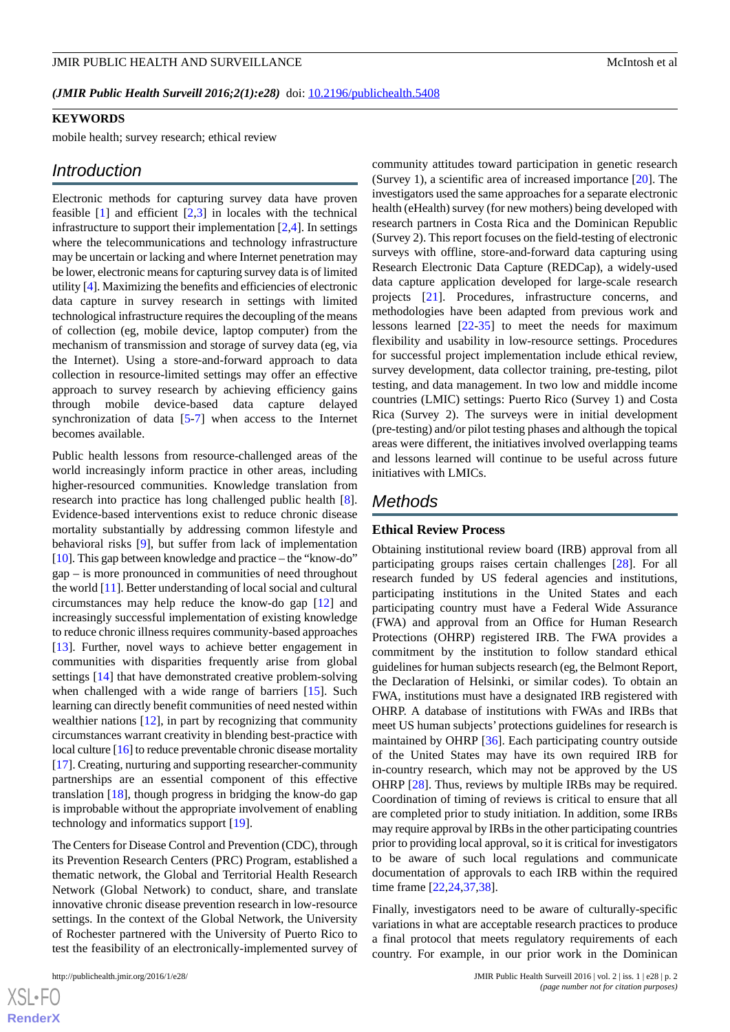*(JMIR Public Health Surveill 2016;2(1):e28)* doi: [10.2196/publichealth.5408](http://dx.doi.org/10.2196/publichealth.5408)

#### **KEYWORDS**

mobile health; survey research; ethical review

## *Introduction*

Electronic methods for capturing survey data have proven feasible  $[1]$  $[1]$  and efficient  $[2,3]$  $[2,3]$  $[2,3]$  $[2,3]$  in locales with the technical infrastructure to support their implementation [[2](#page-8-1)[,4](#page-9-1)]. In settings where the telecommunications and technology infrastructure may be uncertain or lacking and where Internet penetration may be lower, electronic means for capturing survey data is of limited utility [\[4\]](#page-9-1). Maximizing the benefits and efficiencies of electronic data capture in survey research in settings with limited technological infrastructure requires the decoupling of the means of collection (eg, mobile device, laptop computer) from the mechanism of transmission and storage of survey data (eg, via the Internet). Using a store-and-forward approach to data collection in resource-limited settings may offer an effective approach to survey research by achieving efficiency gains through mobile device-based data capture delayed synchronization of data [\[5-](#page-9-2)[7\]](#page-9-3) when access to the Internet becomes available.

Public health lessons from resource-challenged areas of the world increasingly inform practice in other areas, including higher-resourced communities. Knowledge translation from research into practice has long challenged public health [[8\]](#page-9-4). Evidence-based interventions exist to reduce chronic disease mortality substantially by addressing common lifestyle and behavioral risks [\[9\]](#page-9-5), but suffer from lack of implementation [[10\]](#page-9-6). This gap between knowledge and practice – the "know-do" gap – is more pronounced in communities of need throughout the world [\[11](#page-9-7)]. Better understanding of local social and cultural circumstances may help reduce the know-do gap [\[12](#page-9-8)] and increasingly successful implementation of existing knowledge to reduce chronic illness requires community-based approaches [[13\]](#page-9-9). Further, novel ways to achieve better engagement in communities with disparities frequently arise from global settings [\[14](#page-9-10)] that have demonstrated creative problem-solving when challenged with a wide range of barriers [\[15](#page-9-11)]. Such learning can directly benefit communities of need nested within wealthier nations [[12\]](#page-9-8), in part by recognizing that community circumstances warrant creativity in blending best-practice with local culture [[16](#page-9-12)] to reduce preventable chronic disease mortality [[17\]](#page-9-13). Creating, nurturing and supporting researcher-community partnerships are an essential component of this effective translation [[18\]](#page-9-14), though progress in bridging the know-do gap is improbable without the appropriate involvement of enabling technology and informatics support [\[19](#page-9-15)].

The Centers for Disease Control and Prevention (CDC), through its Prevention Research Centers (PRC) Program, established a thematic network, the Global and Territorial Health Research Network (Global Network) to conduct, share, and translate innovative chronic disease prevention research in low-resource settings. In the context of the Global Network, the University of Rochester partnered with the University of Puerto Rico to test the feasibility of an electronically-implemented survey of

community attitudes toward participation in genetic research (Survey 1), a scientific area of increased importance [[20\]](#page-9-16). The investigators used the same approaches for a separate electronic health (eHealth) survey (for new mothers) being developed with research partners in Costa Rica and the Dominican Republic (Survey 2). This report focuses on the field-testing of electronic surveys with offline, store-and-forward data capturing using Research Electronic Data Capture (REDCap), a widely-used data capture application developed for large-scale research projects [[21\]](#page-9-17). Procedures, infrastructure concerns, and methodologies have been adapted from previous work and lessons learned [[22](#page-9-18)[-35](#page-10-0)] to meet the needs for maximum flexibility and usability in low-resource settings. Procedures for successful project implementation include ethical review, survey development, data collector training, pre-testing, pilot testing, and data management. In two low and middle income countries (LMIC) settings: Puerto Rico (Survey 1) and Costa Rica (Survey 2). The surveys were in initial development (pre-testing) and/or pilot testing phases and although the topical areas were different, the initiatives involved overlapping teams and lessons learned will continue to be useful across future initiatives with LMICs.

## *Methods*

#### **Ethical Review Process**

Obtaining institutional review board (IRB) approval from all participating groups raises certain challenges [[28\]](#page-10-1). For all research funded by US federal agencies and institutions, participating institutions in the United States and each participating country must have a Federal Wide Assurance (FWA) and approval from an Office for Human Research Protections (OHRP) registered IRB. The FWA provides a commitment by the institution to follow standard ethical guidelines for human subjects research (eg, the Belmont Report, the Declaration of Helsinki, or similar codes). To obtain an FWA, institutions must have a designated IRB registered with OHRP. A database of institutions with FWAs and IRBs that meet US human subjects' protections guidelines for research is maintained by OHRP [\[36](#page-10-2)]. Each participating country outside of the United States may have its own required IRB for in-country research, which may not be approved by the US OHRP [\[28](#page-10-1)]. Thus, reviews by multiple IRBs may be required. Coordination of timing of reviews is critical to ensure that all are completed prior to study initiation. In addition, some IRBs may require approval by IRBs in the other participating countries prior to providing local approval, so it is critical for investigators to be aware of such local regulations and communicate documentation of approvals to each IRB within the required time frame [\[22](#page-9-18),[24,](#page-9-19)[37](#page-10-3),[38\]](#page-10-4).

Finally, investigators need to be aware of culturally-specific variations in what are acceptable research practices to produce a final protocol that meets regulatory requirements of each country. For example, in our prior work in the Dominican

 $XSJ \cdot F$ **[RenderX](http://www.renderx.com/)**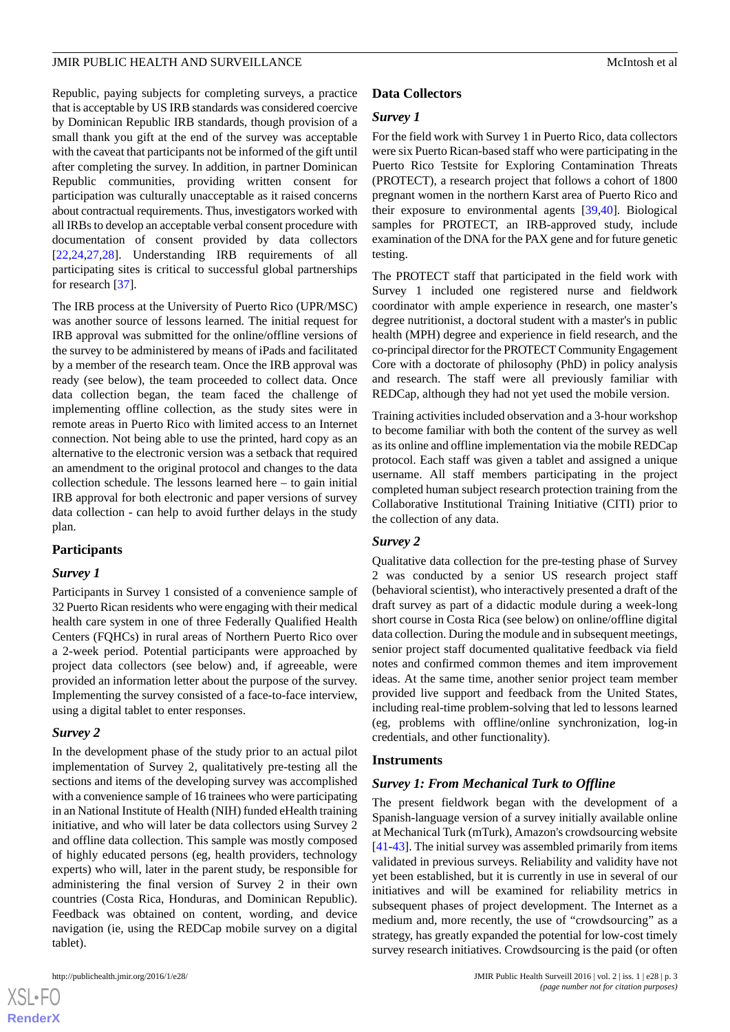Republic, paying subjects for completing surveys, a practice that is acceptable by US IRB standards was considered coercive by Dominican Republic IRB standards, though provision of a small thank you gift at the end of the survey was acceptable with the caveat that participants not be informed of the gift until after completing the survey. In addition, in partner Dominican Republic communities, providing written consent for participation was culturally unacceptable as it raised concerns about contractual requirements. Thus, investigators worked with all IRBs to develop an acceptable verbal consent procedure with documentation of consent provided by data collectors [[22](#page-9-18)[,24](#page-9-19),[27](#page-10-5)[,28](#page-10-1)]. Understanding IRB requirements of all participating sites is critical to successful global partnerships for research [[37\]](#page-10-3).

The IRB process at the University of Puerto Rico (UPR/MSC) was another source of lessons learned. The initial request for IRB approval was submitted for the online/offline versions of the survey to be administered by means of iPads and facilitated by a member of the research team. Once the IRB approval was ready (see below), the team proceeded to collect data. Once data collection began, the team faced the challenge of implementing offline collection, as the study sites were in remote areas in Puerto Rico with limited access to an Internet connection. Not being able to use the printed, hard copy as an alternative to the electronic version was a setback that required an amendment to the original protocol and changes to the data collection schedule. The lessons learned here – to gain initial IRB approval for both electronic and paper versions of survey data collection - can help to avoid further delays in the study plan.

## **Participants**

## *Survey 1*

Participants in Survey 1 consisted of a convenience sample of 32 Puerto Rican residents who were engaging with their medical health care system in one of three Federally Qualified Health Centers (FQHCs) in rural areas of Northern Puerto Rico over a 2-week period. Potential participants were approached by project data collectors (see below) and, if agreeable, were provided an information letter about the purpose of the survey. Implementing the survey consisted of a face-to-face interview, using a digital tablet to enter responses.

## *Survey 2*

In the development phase of the study prior to an actual pilot implementation of Survey 2, qualitatively pre-testing all the sections and items of the developing survey was accomplished with a convenience sample of 16 trainees who were participating in an National Institute of Health (NIH) funded eHealth training initiative, and who will later be data collectors using Survey 2 and offline data collection. This sample was mostly composed of highly educated persons (eg, health providers, technology experts) who will, later in the parent study, be responsible for administering the final version of Survey 2 in their own countries (Costa Rica, Honduras, and Dominican Republic). Feedback was obtained on content, wording, and device navigation (ie, using the REDCap mobile survey on a digital tablet).

 $XS$  $\cdot$ FC **[RenderX](http://www.renderx.com/)**

## **Data Collectors**

## *Survey 1*

For the field work with Survey 1 in Puerto Rico, data collectors were six Puerto Rican-based staff who were participating in the Puerto Rico Testsite for Exploring Contamination Threats (PROTECT), a research project that follows a cohort of 1800 pregnant women in the northern Karst area of Puerto Rico and their exposure to environmental agents [[39,](#page-10-6)[40](#page-10-7)]. Biological samples for PROTECT, an IRB-approved study, include examination of the DNA for the PAX gene and for future genetic testing.

The PROTECT staff that participated in the field work with Survey 1 included one registered nurse and fieldwork coordinator with ample experience in research, one master's degree nutritionist, a doctoral student with a master's in public health (MPH) degree and experience in field research, and the co-principal director for the PROTECT Community Engagement Core with a doctorate of philosophy (PhD) in policy analysis and research. The staff were all previously familiar with REDCap, although they had not yet used the mobile version.

Training activities included observation and a 3-hour workshop to become familiar with both the content of the survey as well as its online and offline implementation via the mobile REDCap protocol. Each staff was given a tablet and assigned a unique username. All staff members participating in the project completed human subject research protection training from the Collaborative Institutional Training Initiative (CITI) prior to the collection of any data.

## *Survey 2*

Qualitative data collection for the pre-testing phase of Survey 2 was conducted by a senior US research project staff (behavioral scientist), who interactively presented a draft of the draft survey as part of a didactic module during a week-long short course in Costa Rica (see below) on online/offline digital data collection. During the module and in subsequent meetings, senior project staff documented qualitative feedback via field notes and confirmed common themes and item improvement ideas. At the same time, another senior project team member provided live support and feedback from the United States, including real-time problem-solving that led to lessons learned (eg, problems with offline/online synchronization, log-in credentials, and other functionality).

## **Instruments**

## *Survey 1: From Mechanical Turk to Offline*

The present fieldwork began with the development of a Spanish-language version of a survey initially available online at Mechanical Turk (mTurk), Amazon's crowdsourcing website [[41](#page-10-8)[-43](#page-10-9)]. The initial survey was assembled primarily from items validated in previous surveys. Reliability and validity have not yet been established, but it is currently in use in several of our initiatives and will be examined for reliability metrics in subsequent phases of project development. The Internet as a medium and, more recently, the use of "crowdsourcing" as a strategy, has greatly expanded the potential for low-cost timely survey research initiatives. Crowdsourcing is the paid (or often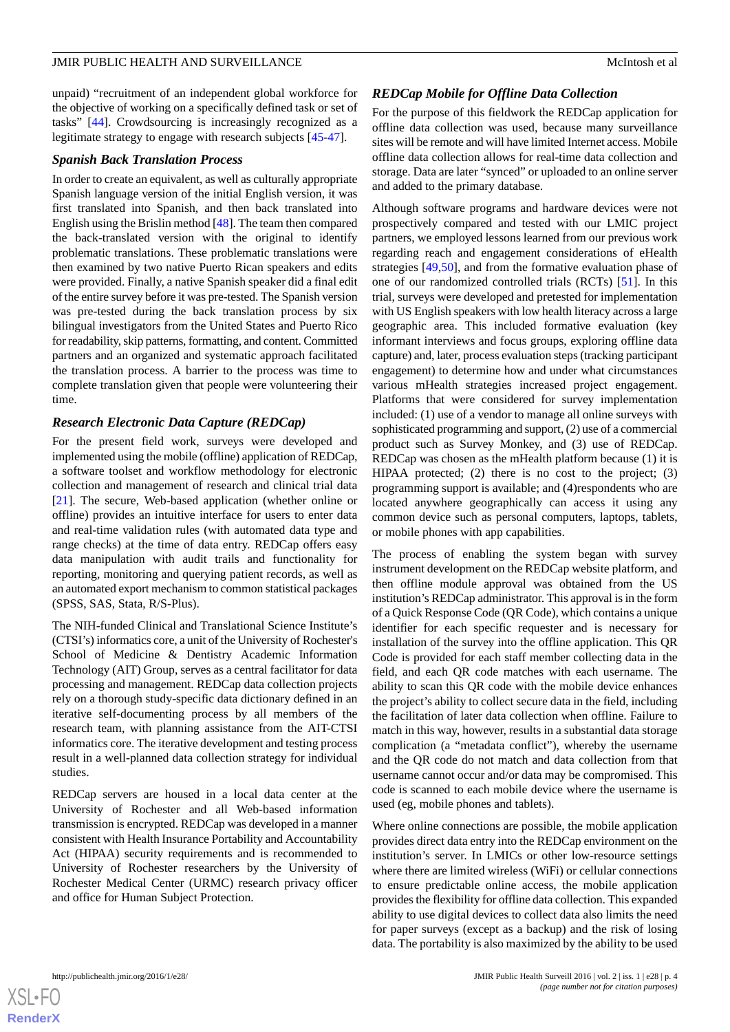unpaid) "recruitment of an independent global workforce for the objective of working on a specifically defined task or set of tasks" [[44\]](#page-10-10). Crowdsourcing is increasingly recognized as a legitimate strategy to engage with research subjects [\[45](#page-10-11)[-47](#page-10-12)].

## *Spanish Back Translation Process*

In order to create an equivalent, as well as culturally appropriate Spanish language version of the initial English version, it was first translated into Spanish, and then back translated into English using the Brislin method [[48\]](#page-10-13). The team then compared the back-translated version with the original to identify problematic translations. These problematic translations were then examined by two native Puerto Rican speakers and edits were provided. Finally, a native Spanish speaker did a final edit of the entire survey before it was pre-tested. The Spanish version was pre-tested during the back translation process by six bilingual investigators from the United States and Puerto Rico for readability, skip patterns, formatting, and content. Committed partners and an organized and systematic approach facilitated the translation process. A barrier to the process was time to complete translation given that people were volunteering their time.

## *Research Electronic Data Capture (REDCap)*

For the present field work, surveys were developed and implemented using the mobile (offline) application of REDCap, a software toolset and workflow methodology for electronic collection and management of research and clinical trial data [[21\]](#page-9-17). The secure, Web-based application (whether online or offline) provides an intuitive interface for users to enter data and real-time validation rules (with automated data type and range checks) at the time of data entry. REDCap offers easy data manipulation with audit trails and functionality for reporting, monitoring and querying patient records, as well as an automated export mechanism to common statistical packages (SPSS, SAS, Stata, R/S-Plus).

The NIH-funded Clinical and Translational Science Institute's (CTSI's) informatics core, a unit of the University of Rochester's School of Medicine & Dentistry Academic Information Technology (AIT) Group, serves as a central facilitator for data processing and management. REDCap data collection projects rely on a thorough study-specific data dictionary defined in an iterative self-documenting process by all members of the research team, with planning assistance from the AIT-CTSI informatics core. The iterative development and testing process result in a well-planned data collection strategy for individual studies.

REDCap servers are housed in a local data center at the University of Rochester and all Web-based information transmission is encrypted. REDCap was developed in a manner consistent with Health Insurance Portability and Accountability Act (HIPAA) security requirements and is recommended to University of Rochester researchers by the University of Rochester Medical Center (URMC) research privacy officer and office for Human Subject Protection.

## *REDCap Mobile for Offline Data Collection*

For the purpose of this fieldwork the REDCap application for offline data collection was used, because many surveillance sites will be remote and will have limited Internet access. Mobile offline data collection allows for real-time data collection and storage. Data are later "synced" or uploaded to an online server and added to the primary database.

Although software programs and hardware devices were not prospectively compared and tested with our LMIC project partners, we employed lessons learned from our previous work regarding reach and engagement considerations of eHealth strategies [[49,](#page-11-0)[50\]](#page-11-1), and from the formative evaluation phase of one of our randomized controlled trials (RCTs) [[51\]](#page-11-2). In this trial, surveys were developed and pretested for implementation with US English speakers with low health literacy across a large geographic area. This included formative evaluation (key informant interviews and focus groups, exploring offline data capture) and, later, process evaluation steps (tracking participant engagement) to determine how and under what circumstances various mHealth strategies increased project engagement. Platforms that were considered for survey implementation included: (1) use of a vendor to manage all online surveys with sophisticated programming and support, (2) use of a commercial product such as Survey Monkey, and (3) use of REDCap. REDCap was chosen as the mHealth platform because (1) it is HIPAA protected; (2) there is no cost to the project; (3) programming support is available; and (4)respondents who are located anywhere geographically can access it using any common device such as personal computers, laptops, tablets, or mobile phones with app capabilities.

The process of enabling the system began with survey instrument development on the REDCap website platform, and then offline module approval was obtained from the US institution's REDCap administrator. This approval is in the form of a Quick Response Code (QR Code), which contains a unique identifier for each specific requester and is necessary for installation of the survey into the offline application. This QR Code is provided for each staff member collecting data in the field, and each QR code matches with each username. The ability to scan this QR code with the mobile device enhances the project's ability to collect secure data in the field, including the facilitation of later data collection when offline. Failure to match in this way, however, results in a substantial data storage complication (a "metadata conflict"), whereby the username and the QR code do not match and data collection from that username cannot occur and/or data may be compromised. This code is scanned to each mobile device where the username is used (eg, mobile phones and tablets).

Where online connections are possible, the mobile application provides direct data entry into the REDCap environment on the institution's server. In LMICs or other low-resource settings where there are limited wireless (WiFi) or cellular connections to ensure predictable online access, the mobile application provides the flexibility for offline data collection. This expanded ability to use digital devices to collect data also limits the need for paper surveys (except as a backup) and the risk of losing data. The portability is also maximized by the ability to be used

 $XS$  $\cdot$ FC **[RenderX](http://www.renderx.com/)**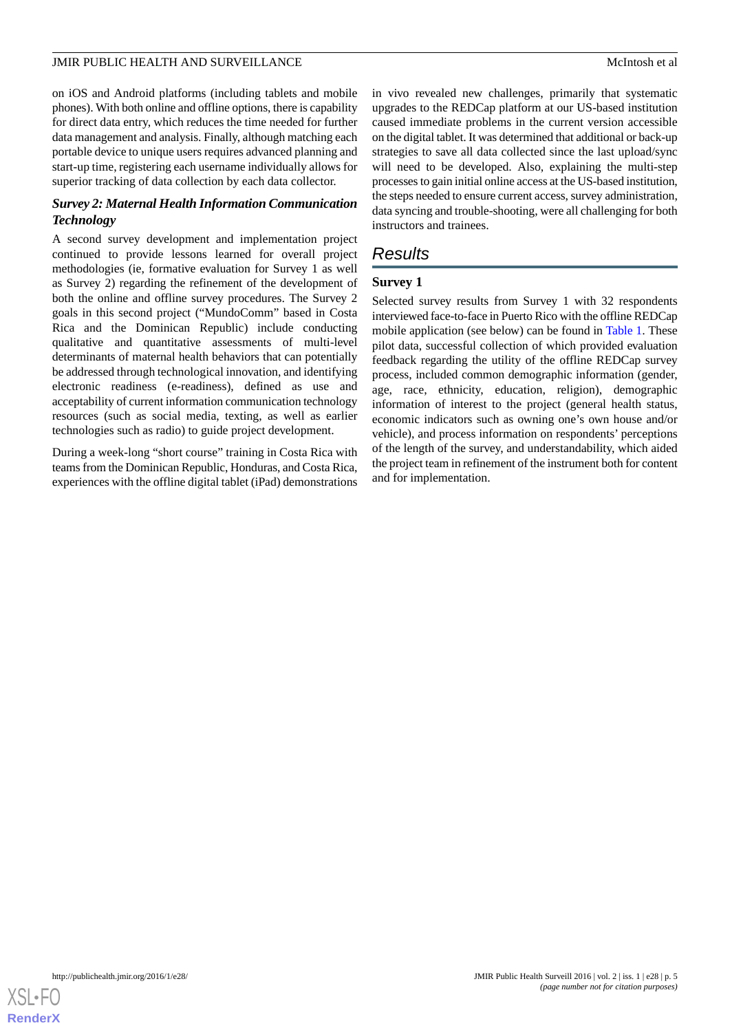on iOS and Android platforms (including tablets and mobile phones). With both online and offline options, there is capability for direct data entry, which reduces the time needed for further data management and analysis. Finally, although matching each portable device to unique users requires advanced planning and start-up time, registering each username individually allows for superior tracking of data collection by each data collector.

## *Survey 2: Maternal Health Information Communication Technology*

A second survey development and implementation project continued to provide lessons learned for overall project methodologies (ie, formative evaluation for Survey 1 as well as Survey 2) regarding the refinement of the development of both the online and offline survey procedures. The Survey 2 goals in this second project ("MundoComm" based in Costa Rica and the Dominican Republic) include conducting qualitative and quantitative assessments of multi-level determinants of maternal health behaviors that can potentially be addressed through technological innovation, and identifying electronic readiness (e-readiness), defined as use and acceptability of current information communication technology resources (such as social media, texting, as well as earlier technologies such as radio) to guide project development.

During a week-long "short course" training in Costa Rica with teams from the Dominican Republic, Honduras, and Costa Rica, experiences with the offline digital tablet (iPad) demonstrations

in vivo revealed new challenges, primarily that systematic upgrades to the REDCap platform at our US-based institution caused immediate problems in the current version accessible on the digital tablet. It was determined that additional or back-up strategies to save all data collected since the last upload/sync will need to be developed. Also, explaining the multi-step processes to gain initial online access at the US-based institution, the steps needed to ensure current access, survey administration, data syncing and trouble-shooting, were all challenging for both instructors and trainees.

## *Results*

## **Survey 1**

Selected survey results from Survey 1 with 32 respondents interviewed face-to-face in Puerto Rico with the offline REDCap mobile application (see below) can be found in [Table 1.](#page-5-0) These pilot data, successful collection of which provided evaluation feedback regarding the utility of the offline REDCap survey process, included common demographic information (gender, age, race, ethnicity, education, religion), demographic information of interest to the project (general health status, economic indicators such as owning one's own house and/or vehicle), and process information on respondents' perceptions of the length of the survey, and understandability, which aided the project team in refinement of the instrument both for content and for implementation.

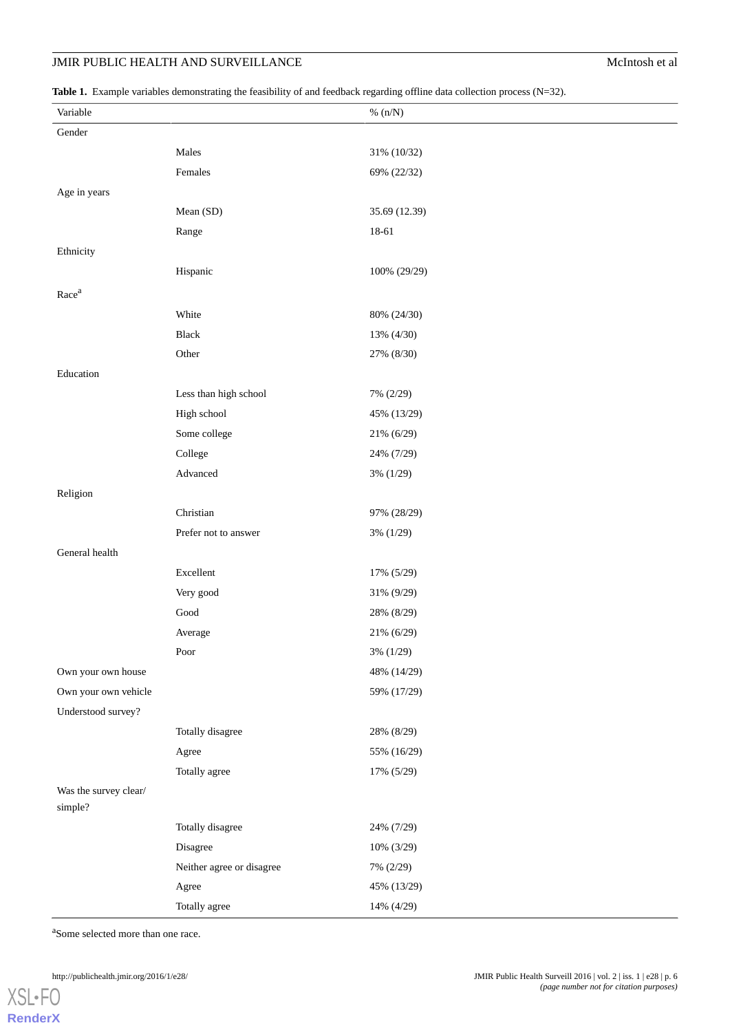## **JMIR PUBLIC HEALTH AND SURVEILLANCE** McIntosh et al

<span id="page-5-0"></span>Table 1. Example variables demonstrating the feasibility of and feedback regarding offline data collection process (N=32).

| Variable                         |                           | $\%~(n/N)$    |
|----------------------------------|---------------------------|---------------|
| Gender                           |                           |               |
|                                  | Males                     | 31% (10/32)   |
|                                  | Females                   | 69% (22/32)   |
| Age in years                     |                           |               |
|                                  | Mean (SD)                 | 35.69 (12.39) |
|                                  | Range                     | 18-61         |
| Ethnicity                        |                           |               |
|                                  | Hispanic                  | 100% (29/29)  |
| Race <sup>a</sup>                |                           |               |
|                                  | White                     | 80% (24/30)   |
|                                  | Black                     | 13% (4/30)    |
|                                  | Other                     | 27% (8/30)    |
| Education                        |                           |               |
|                                  | Less than high school     | 7% (2/29)     |
|                                  | High school               | 45% (13/29)   |
|                                  | Some college              | 21% (6/29)    |
|                                  | College                   | 24% (7/29)    |
|                                  | Advanced                  | 3% (1/29)     |
| Religion                         |                           |               |
|                                  | Christian                 | 97% (28/29)   |
|                                  | Prefer not to answer      | 3% (1/29)     |
| General health                   |                           |               |
|                                  | Excellent                 | 17% (5/29)    |
|                                  | Very good                 | 31% (9/29)    |
|                                  | $\operatorname{Good}$     | 28% (8/29)    |
|                                  | Average                   | 21% (6/29)    |
|                                  | Poor                      | 3% (1/29)     |
| Own your own house               |                           | 48% (14/29)   |
| Own your own vehicle             |                           | 59% (17/29)   |
| Understood survey?               |                           |               |
|                                  | Totally disagree          | 28% (8/29)    |
|                                  | Agree                     | 55% (16/29)   |
|                                  | Totally agree             | 17% (5/29)    |
| Was the survey clear/<br>simple? |                           |               |
|                                  | Totally disagree          | 24% (7/29)    |
|                                  | Disagree                  | 10% (3/29)    |
|                                  | Neither agree or disagree | 7% (2/29)     |
|                                  | Agree                     | 45% (13/29)   |
|                                  | Totally agree             | 14% (4/29)    |

<sup>a</sup>Some selected more than one race.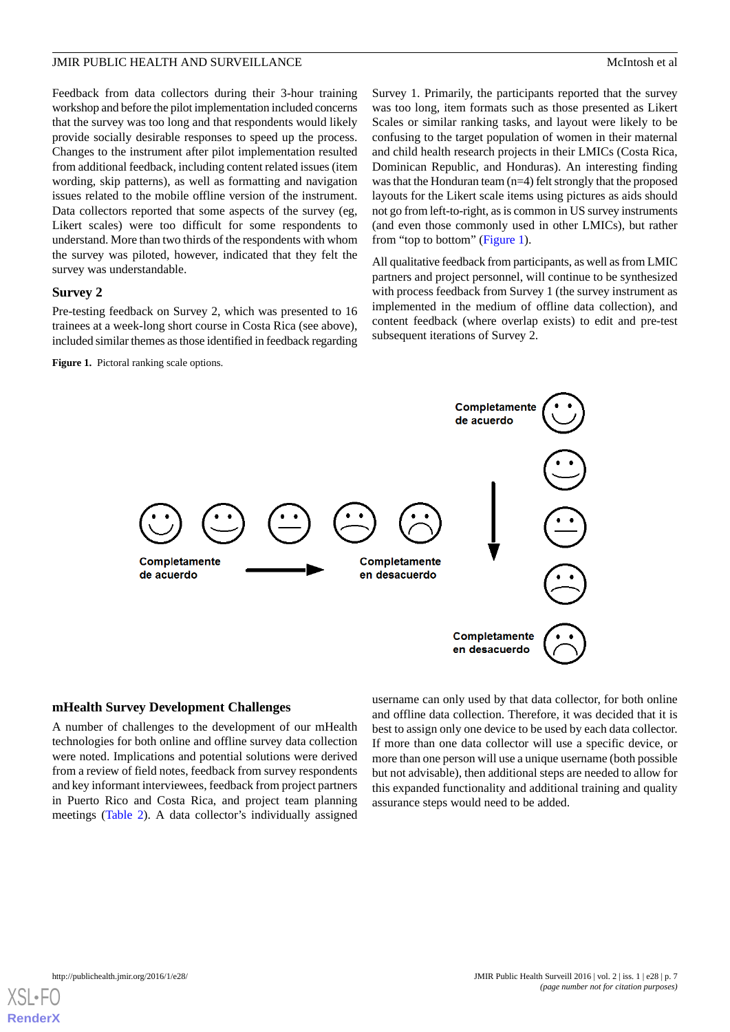Feedback from data collectors during their 3-hour training workshop and before the pilot implementation included concerns that the survey was too long and that respondents would likely provide socially desirable responses to speed up the process. Changes to the instrument after pilot implementation resulted from additional feedback, including content related issues (item wording, skip patterns), as well as formatting and navigation issues related to the mobile offline version of the instrument. Data collectors reported that some aspects of the survey (eg, Likert scales) were too difficult for some respondents to understand. More than two thirds of the respondents with whom the survey was piloted, however, indicated that they felt the survey was understandable.

## **Survey 2**

<span id="page-6-0"></span>Pre-testing feedback on Survey 2, which was presented to 16 trainees at a week-long short course in Costa Rica (see above), included similar themes as those identified in feedback regarding

**Figure 1.** Pictoral ranking scale options.

Survey 1. Primarily, the participants reported that the survey was too long, item formats such as those presented as Likert Scales or similar ranking tasks, and layout were likely to be confusing to the target population of women in their maternal and child health research projects in their LMICs (Costa Rica, Dominican Republic, and Honduras). An interesting finding was that the Honduran team (n=4) felt strongly that the proposed layouts for the Likert scale items using pictures as aids should not go from left-to-right, as is common in US survey instruments (and even those commonly used in other LMICs), but rather from "top to bottom" [\(Figure 1\)](#page-6-0).

All qualitative feedback from participants, as well as from LMIC partners and project personnel, will continue to be synthesized with process feedback from Survey 1 (the survey instrument as implemented in the medium of offline data collection), and content feedback (where overlap exists) to edit and pre-test subsequent iterations of Survey 2.



## **mHealth Survey Development Challenges**

A number of challenges to the development of our mHealth technologies for both online and offline survey data collection were noted. Implications and potential solutions were derived from a review of field notes, feedback from survey respondents and key informant interviewees, feedback from project partners in Puerto Rico and Costa Rica, and project team planning meetings [\(Table 2](#page-7-0)). A data collector's individually assigned

username can only used by that data collector, for both online and offline data collection. Therefore, it was decided that it is best to assign only one device to be used by each data collector. If more than one data collector will use a specific device, or more than one person will use a unique username (both possible but not advisable), then additional steps are needed to allow for this expanded functionality and additional training and quality assurance steps would need to be added.

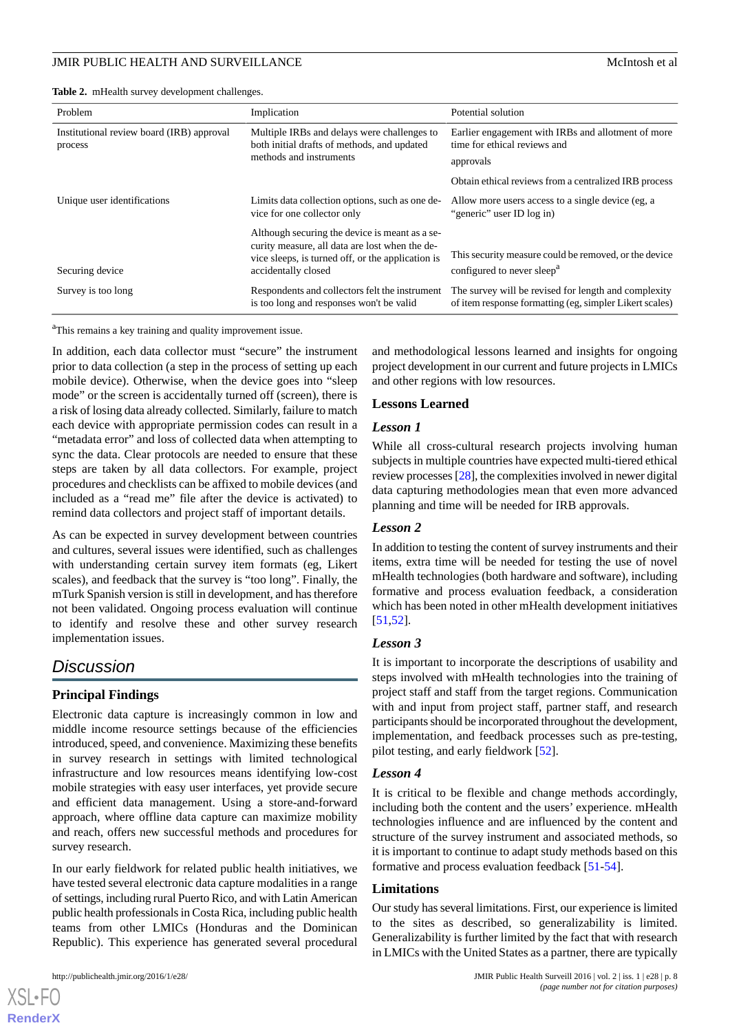<span id="page-7-0"></span>**Table 2.** mHealth survey development challenges.

| Problem                                              | Implication                                                                                                                                                                  | Potential solution                                                                                              |
|------------------------------------------------------|------------------------------------------------------------------------------------------------------------------------------------------------------------------------------|-----------------------------------------------------------------------------------------------------------------|
| Institutional review board (IRB) approval<br>process | Multiple IRBs and delays were challenges to<br>both initial drafts of methods, and updated<br>methods and instruments                                                        | Earlier engagement with IRBs and allotment of more<br>time for ethical reviews and                              |
|                                                      |                                                                                                                                                                              | approvals                                                                                                       |
|                                                      |                                                                                                                                                                              | Obtain ethical reviews from a centralized IRB process                                                           |
| Unique user identifications                          | Limits data collection options, such as one de-<br>vice for one collector only                                                                                               | Allow more users access to a single device (eg, a<br>"generic" user ID log in)                                  |
| Securing device                                      | Although securing the device is meant as a se-<br>curity measure, all data are lost when the de-<br>vice sleeps, is turned off, or the application is<br>accidentally closed | This security measure could be removed, or the device<br>configured to never sleep <sup>a</sup>                 |
| Survey is too long                                   | Respondents and collectors felt the instrument<br>is too long and responses won't be valid                                                                                   | The survey will be revised for length and complexity<br>of item response formatting (eg, simpler Likert scales) |

<sup>a</sup>This remains a key training and quality improvement issue.

In addition, each data collector must "secure" the instrument prior to data collection (a step in the process of setting up each mobile device). Otherwise, when the device goes into "sleep mode" or the screen is accidentally turned off (screen), there is a risk of losing data already collected. Similarly, failure to match each device with appropriate permission codes can result in a "metadata error" and loss of collected data when attempting to sync the data. Clear protocols are needed to ensure that these steps are taken by all data collectors. For example, project procedures and checklists can be affixed to mobile devices (and included as a "read me" file after the device is activated) to remind data collectors and project staff of important details.

As can be expected in survey development between countries and cultures, several issues were identified, such as challenges with understanding certain survey item formats (eg, Likert scales), and feedback that the survey is "too long". Finally, the mTurk Spanish version is still in development, and has therefore not been validated. Ongoing process evaluation will continue to identify and resolve these and other survey research implementation issues.

## *Discussion*

## **Principal Findings**

Electronic data capture is increasingly common in low and middle income resource settings because of the efficiencies introduced, speed, and convenience. Maximizing these benefits in survey research in settings with limited technological infrastructure and low resources means identifying low-cost mobile strategies with easy user interfaces, yet provide secure and efficient data management. Using a store-and-forward approach, where offline data capture can maximize mobility and reach, offers new successful methods and procedures for survey research.

In our early fieldwork for related public health initiatives, we have tested several electronic data capture modalities in a range of settings, including rural Puerto Rico, and with Latin American public health professionals in Costa Rica, including public health teams from other LMICs (Honduras and the Dominican Republic). This experience has generated several procedural

[XSL](http://www.w3.org/Style/XSL)•FO **[RenderX](http://www.renderx.com/)**

and methodological lessons learned and insights for ongoing project development in our current and future projects in LMICs and other regions with low resources.

## **Lessons Learned**

## *Lesson 1*

While all cross-cultural research projects involving human subjects in multiple countries have expected multi-tiered ethical review processes [\[28](#page-10-1)], the complexities involved in newer digital data capturing methodologies mean that even more advanced planning and time will be needed for IRB approvals.

## *Lesson 2*

In addition to testing the content of survey instruments and their items, extra time will be needed for testing the use of novel mHealth technologies (both hardware and software), including formative and process evaluation feedback, a consideration which has been noted in other mHealth development initiatives [[51,](#page-11-2)[52\]](#page-11-3).

## *Lesson 3*

It is important to incorporate the descriptions of usability and steps involved with mHealth technologies into the training of project staff and staff from the target regions. Communication with and input from project staff, partner staff, and research participants should be incorporated throughout the development, implementation, and feedback processes such as pre-testing, pilot testing, and early fieldwork [[52\]](#page-11-3).

## *Lesson 4*

It is critical to be flexible and change methods accordingly, including both the content and the users' experience. mHealth technologies influence and are influenced by the content and structure of the survey instrument and associated methods, so it is important to continue to adapt study methods based on this formative and process evaluation feedback [[51-](#page-11-2)[54\]](#page-11-4).

## **Limitations**

Our study has several limitations. First, our experience is limited to the sites as described, so generalizability is limited. Generalizability is further limited by the fact that with research in LMICs with the United States as a partner, there are typically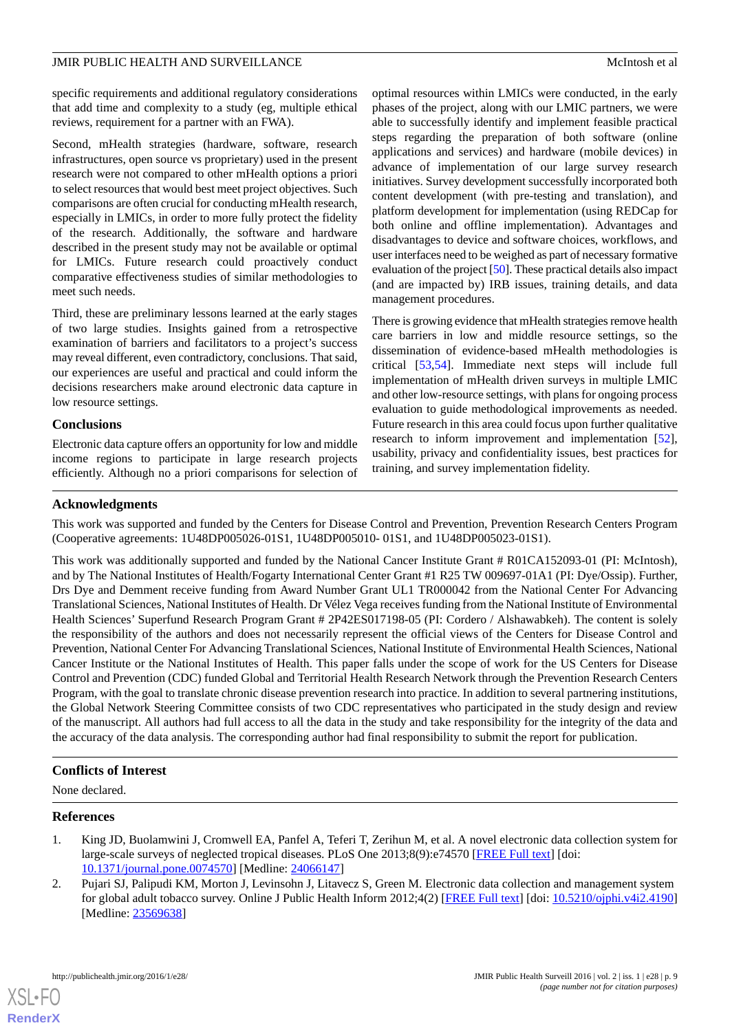specific requirements and additional regulatory considerations that add time and complexity to a study (eg, multiple ethical reviews, requirement for a partner with an FWA).

Second, mHealth strategies (hardware, software, research infrastructures, open source vs proprietary) used in the present research were not compared to other mHealth options a priori to select resources that would best meet project objectives. Such comparisons are often crucial for conducting mHealth research, especially in LMICs, in order to more fully protect the fidelity of the research. Additionally, the software and hardware described in the present study may not be available or optimal for LMICs. Future research could proactively conduct comparative effectiveness studies of similar methodologies to meet such needs.

Third, these are preliminary lessons learned at the early stages of two large studies. Insights gained from a retrospective examination of barriers and facilitators to a project's success may reveal different, even contradictory, conclusions. That said, our experiences are useful and practical and could inform the decisions researchers make around electronic data capture in low resource settings.

## **Conclusions**

Electronic data capture offers an opportunity for low and middle income regions to participate in large research projects efficiently. Although no a priori comparisons for selection of optimal resources within LMICs were conducted, in the early phases of the project, along with our LMIC partners, we were able to successfully identify and implement feasible practical steps regarding the preparation of both software (online applications and services) and hardware (mobile devices) in advance of implementation of our large survey research initiatives. Survey development successfully incorporated both content development (with pre-testing and translation), and platform development for implementation (using REDCap for both online and offline implementation). Advantages and disadvantages to device and software choices, workflows, and user interfaces need to be weighed as part of necessary formative evaluation of the project [\[50](#page-11-1)]. These practical details also impact (and are impacted by) IRB issues, training details, and data management procedures.

There is growing evidence that mHealth strategies remove health care barriers in low and middle resource settings, so the dissemination of evidence-based mHealth methodologies is critical [\[53](#page-11-5)[,54](#page-11-4)]. Immediate next steps will include full implementation of mHealth driven surveys in multiple LMIC and other low-resource settings, with plans for ongoing process evaluation to guide methodological improvements as needed. Future research in this area could focus upon further qualitative research to inform improvement and implementation [[52\]](#page-11-3), usability, privacy and confidentiality issues, best practices for training, and survey implementation fidelity.

## **Acknowledgments**

This work was supported and funded by the Centers for Disease Control and Prevention, Prevention Research Centers Program (Cooperative agreements: 1U48DP005026-01S1, 1U48DP005010- 01S1, and 1U48DP005023-01S1).

This work was additionally supported and funded by the National Cancer Institute Grant # R01CA152093-01 (PI: McIntosh), and by The National Institutes of Health/Fogarty International Center Grant #1 R25 TW 009697-01A1 (PI: Dye/Ossip). Further, Drs Dye and Demment receive funding from Award Number Grant UL1 TR000042 from the National Center For Advancing Translational Sciences, National Institutes of Health. Dr Vélez Vega receives funding from the National Institute of Environmental Health Sciences' Superfund Research Program Grant # 2P42ES017198-05 (PI: Cordero / Alshawabkeh). The content is solely the responsibility of the authors and does not necessarily represent the official views of the Centers for Disease Control and Prevention, National Center For Advancing Translational Sciences, National Institute of Environmental Health Sciences, National Cancer Institute or the National Institutes of Health. This paper falls under the scope of work for the US Centers for Disease Control and Prevention (CDC) funded Global and Territorial Health Research Network through the Prevention Research Centers Program, with the goal to translate chronic disease prevention research into practice. In addition to several partnering institutions, the Global Network Steering Committee consists of two CDC representatives who participated in the study design and review of the manuscript. All authors had full access to all the data in the study and take responsibility for the integrity of the data and the accuracy of the data analysis. The corresponding author had final responsibility to submit the report for publication.

## <span id="page-8-0"></span>**Conflicts of Interest**

<span id="page-8-1"></span>None declared.

## **References**

- 1. King JD, Buolamwini J, Cromwell EA, Panfel A, Teferi T, Zerihun M, et al. A novel electronic data collection system for large-scale surveys of neglected tropical diseases. PLoS One 2013;8(9):e74570 [[FREE Full text](http://dx.plos.org/10.1371/journal.pone.0074570)] [doi: [10.1371/journal.pone.0074570\]](http://dx.doi.org/10.1371/journal.pone.0074570) [Medline: [24066147](http://www.ncbi.nlm.nih.gov/entrez/query.fcgi?cmd=Retrieve&db=PubMed&list_uids=24066147&dopt=Abstract)]
- 2. Pujari SJ, Palipudi KM, Morton J, Levinsohn J, Litavecz S, Green M. Electronic data collection and management system for global adult tobacco survey. Online J Public Health Inform 2012;4(2) [\[FREE Full text\]](http://europepmc.org/abstract/MED/23569638) [doi: [10.5210/ojphi.v4i2.4190](http://dx.doi.org/10.5210/ojphi.v4i2.4190)] [Medline: [23569638](http://www.ncbi.nlm.nih.gov/entrez/query.fcgi?cmd=Retrieve&db=PubMed&list_uids=23569638&dopt=Abstract)]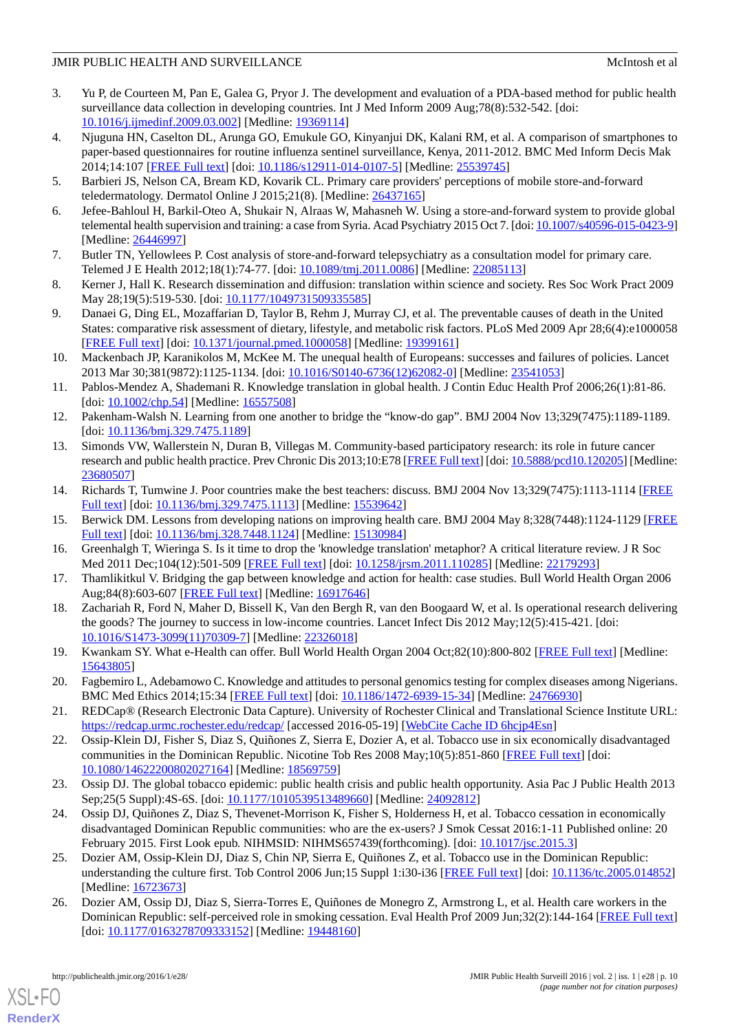## JMIR PUBLIC HEALTH AND SURVEILLANCE SERVICE SERVICES AND SURVEILLANCE SERVICES AND MCINTOSh et al.

- <span id="page-9-0"></span>3. Yu P, de Courteen M, Pan E, Galea G, Pryor J. The development and evaluation of a PDA-based method for public health surveillance data collection in developing countries. Int J Med Inform 2009 Aug;78(8):532-542. [doi: [10.1016/j.ijmedinf.2009.03.002\]](http://dx.doi.org/10.1016/j.ijmedinf.2009.03.002) [Medline: [19369114](http://www.ncbi.nlm.nih.gov/entrez/query.fcgi?cmd=Retrieve&db=PubMed&list_uids=19369114&dopt=Abstract)]
- <span id="page-9-1"></span>4. Njuguna HN, Caselton DL, Arunga GO, Emukule GO, Kinyanjui DK, Kalani RM, et al. A comparison of smartphones to paper-based questionnaires for routine influenza sentinel surveillance, Kenya, 2011-2012. BMC Med Inform Decis Mak 2014;14:107 [[FREE Full text](http://bmcmedinformdecismak.biomedcentral.com/articles/10.1186/s12911-014-0107-5)] [doi: [10.1186/s12911-014-0107-5\]](http://dx.doi.org/10.1186/s12911-014-0107-5) [Medline: [25539745](http://www.ncbi.nlm.nih.gov/entrez/query.fcgi?cmd=Retrieve&db=PubMed&list_uids=25539745&dopt=Abstract)]
- <span id="page-9-2"></span>5. Barbieri JS, Nelson CA, Bream KD, Kovarik CL. Primary care providers' perceptions of mobile store-and-forward teledermatology. Dermatol Online J 2015;21(8). [Medline: [26437165\]](http://www.ncbi.nlm.nih.gov/entrez/query.fcgi?cmd=Retrieve&db=PubMed&list_uids=26437165&dopt=Abstract)
- <span id="page-9-3"></span>6. Jefee-Bahloul H, Barkil-Oteo A, Shukair N, Alraas W, Mahasneh W. Using a store-and-forward system to provide global telemental health supervision and training: a case from Syria. Acad Psychiatry 2015 Oct 7. [doi: [10.1007/s40596-015-0423-9\]](http://dx.doi.org/10.1007/s40596-015-0423-9) [Medline: [26446997](http://www.ncbi.nlm.nih.gov/entrez/query.fcgi?cmd=Retrieve&db=PubMed&list_uids=26446997&dopt=Abstract)]
- <span id="page-9-4"></span>7. Butler TN, Yellowlees P. Cost analysis of store-and-forward telepsychiatry as a consultation model for primary care. Telemed J E Health 2012;18(1):74-77. [doi: [10.1089/tmj.2011.0086](http://dx.doi.org/10.1089/tmj.2011.0086)] [Medline: [22085113\]](http://www.ncbi.nlm.nih.gov/entrez/query.fcgi?cmd=Retrieve&db=PubMed&list_uids=22085113&dopt=Abstract)
- <span id="page-9-5"></span>8. Kerner J, Hall K. Research dissemination and diffusion: translation within science and society. Res Soc Work Pract 2009 May 28;19(5):519-530. [doi: [10.1177/1049731509335585\]](http://dx.doi.org/10.1177/1049731509335585)
- <span id="page-9-6"></span>9. Danaei G, Ding EL, Mozaffarian D, Taylor B, Rehm J, Murray CJ, et al. The preventable causes of death in the United States: comparative risk assessment of dietary, lifestyle, and metabolic risk factors. PLoS Med 2009 Apr 28;6(4):e1000058 [[FREE Full text](http://dx.plos.org/10.1371/journal.pmed.1000058)] [doi: [10.1371/journal.pmed.1000058](http://dx.doi.org/10.1371/journal.pmed.1000058)] [Medline: [19399161](http://www.ncbi.nlm.nih.gov/entrez/query.fcgi?cmd=Retrieve&db=PubMed&list_uids=19399161&dopt=Abstract)]
- <span id="page-9-7"></span>10. Mackenbach JP, Karanikolos M, McKee M. The unequal health of Europeans: successes and failures of policies. Lancet 2013 Mar 30;381(9872):1125-1134. [doi: [10.1016/S0140-6736\(12\)62082-0](http://dx.doi.org/10.1016/S0140-6736(12)62082-0)] [Medline: [23541053](http://www.ncbi.nlm.nih.gov/entrez/query.fcgi?cmd=Retrieve&db=PubMed&list_uids=23541053&dopt=Abstract)]
- <span id="page-9-9"></span><span id="page-9-8"></span>11. Pablos-Mendez A, Shademani R. Knowledge translation in global health. J Contin Educ Health Prof 2006;26(1):81-86. [doi: [10.1002/chp.54](http://dx.doi.org/10.1002/chp.54)] [Medline: [16557508\]](http://www.ncbi.nlm.nih.gov/entrez/query.fcgi?cmd=Retrieve&db=PubMed&list_uids=16557508&dopt=Abstract)
- 12. Pakenham-Walsh N. Learning from one another to bridge the "know-do gap". BMJ 2004 Nov 13;329(7475):1189-1189. [doi: [10.1136/bmj.329.7475.1189](http://dx.doi.org/10.1136/bmj.329.7475.1189)]
- <span id="page-9-10"></span>13. Simonds VW, Wallerstein N, Duran B, Villegas M. Community-based participatory research: its role in future cancer research and public health practice. Prev Chronic Dis 2013;10:E78 [\[FREE Full text](http://www.cdc.gov/pcd/issues/2013/12_0205.htm)] [doi: [10.5888/pcd10.120205](http://dx.doi.org/10.5888/pcd10.120205)] [Medline: [23680507](http://www.ncbi.nlm.nih.gov/entrez/query.fcgi?cmd=Retrieve&db=PubMed&list_uids=23680507&dopt=Abstract)]
- <span id="page-9-12"></span><span id="page-9-11"></span>14. Richards T, Tumwine J. Poor countries make the best teachers: discuss. BMJ 2004 Nov 13;329(7475):1113-1114 [\[FREE](http://europepmc.org/abstract/MED/15539642) [Full text\]](http://europepmc.org/abstract/MED/15539642) [doi: [10.1136/bmj.329.7475.1113\]](http://dx.doi.org/10.1136/bmj.329.7475.1113) [Medline: [15539642](http://www.ncbi.nlm.nih.gov/entrez/query.fcgi?cmd=Retrieve&db=PubMed&list_uids=15539642&dopt=Abstract)]
- <span id="page-9-13"></span>15. Berwick DM. Lessons from developing nations on improving health care. BMJ 2004 May 8;328(7448):1124-1129 [\[FREE](http://europepmc.org/abstract/MED/15130984) [Full text\]](http://europepmc.org/abstract/MED/15130984) [doi: [10.1136/bmj.328.7448.1124\]](http://dx.doi.org/10.1136/bmj.328.7448.1124) [Medline: [15130984](http://www.ncbi.nlm.nih.gov/entrez/query.fcgi?cmd=Retrieve&db=PubMed&list_uids=15130984&dopt=Abstract)]
- <span id="page-9-14"></span>16. Greenhalgh T, Wieringa S. Is it time to drop the 'knowledge translation' metaphor? A critical literature review. J R Soc Med 2011 Dec;104(12):501-509 [\[FREE Full text\]](http://europepmc.org/abstract/MED/22179293) [doi: [10.1258/jrsm.2011.110285](http://dx.doi.org/10.1258/jrsm.2011.110285)] [Medline: [22179293\]](http://www.ncbi.nlm.nih.gov/entrez/query.fcgi?cmd=Retrieve&db=PubMed&list_uids=22179293&dopt=Abstract)
- <span id="page-9-15"></span>17. Thamlikitkul V. Bridging the gap between knowledge and action for health: case studies. Bull World Health Organ 2006 Aug;84(8):603-607 [\[FREE Full text](http://www.scielosp.org/scielo.php?script=sci_arttext&pid=S0042-96862006000800010&lng=en&nrm=iso&tlng=en)] [Medline: [16917646](http://www.ncbi.nlm.nih.gov/entrez/query.fcgi?cmd=Retrieve&db=PubMed&list_uids=16917646&dopt=Abstract)]
- <span id="page-9-16"></span>18. Zachariah R, Ford N, Maher D, Bissell K, Van den Bergh R, van den Boogaard W, et al. Is operational research delivering the goods? The journey to success in low-income countries. Lancet Infect Dis 2012 May;12(5):415-421. [doi: [10.1016/S1473-3099\(11\)70309-7\]](http://dx.doi.org/10.1016/S1473-3099(11)70309-7) [Medline: [22326018](http://www.ncbi.nlm.nih.gov/entrez/query.fcgi?cmd=Retrieve&db=PubMed&list_uids=22326018&dopt=Abstract)]
- <span id="page-9-17"></span>19. Kwankam SY. What e-Health can offer. Bull World Health Organ 2004 Oct;82(10):800-802 [\[FREE Full text\]](http://europepmc.org/abstract/MED/15643805) [Medline: [15643805](http://www.ncbi.nlm.nih.gov/entrez/query.fcgi?cmd=Retrieve&db=PubMed&list_uids=15643805&dopt=Abstract)]
- <span id="page-9-18"></span>20. Fagbemiro L, Adebamowo C. Knowledge and attitudes to personal genomics testing for complex diseases among Nigerians. BMC Med Ethics 2014;15:34 [[FREE Full text](http://bmcmedethics.biomedcentral.com/articles/10.1186/1472-6939-15-34)] [doi: [10.1186/1472-6939-15-34\]](http://dx.doi.org/10.1186/1472-6939-15-34) [Medline: [24766930\]](http://www.ncbi.nlm.nih.gov/entrez/query.fcgi?cmd=Retrieve&db=PubMed&list_uids=24766930&dopt=Abstract)
- 21. REDCap® (Research Electronic Data Capture). University of Rochester Clinical and Translational Science Institute URL: <https://redcap.urmc.rochester.edu/redcap/> [accessed 2016-05-19] [[WebCite Cache ID 6hcjp4Esn\]](http://www.webcitation.org/

                                6hcjp4Esn)
- <span id="page-9-19"></span>22. Ossip-Klein DJ, Fisher S, Diaz S, Quiñones Z, Sierra E, Dozier A, et al. Tobacco use in six economically disadvantaged communities in the Dominican Republic. Nicotine Tob Res 2008 May;10(5):851-860 [\[FREE Full text\]](http://europepmc.org/abstract/MED/18569759) [doi: [10.1080/14622200802027164\]](http://dx.doi.org/10.1080/14622200802027164) [Medline: [18569759\]](http://www.ncbi.nlm.nih.gov/entrez/query.fcgi?cmd=Retrieve&db=PubMed&list_uids=18569759&dopt=Abstract)
- 23. Ossip DJ. The global tobacco epidemic: public health crisis and public health opportunity. Asia Pac J Public Health 2013 Sep;25(5 Suppl):4S-6S. [doi: [10.1177/1010539513489660\]](http://dx.doi.org/10.1177/1010539513489660) [Medline: [24092812](http://www.ncbi.nlm.nih.gov/entrez/query.fcgi?cmd=Retrieve&db=PubMed&list_uids=24092812&dopt=Abstract)]
- 24. Ossip DJ, Quiñones Z, Diaz S, Thevenet-Morrison K, Fisher S, Holderness H, et al. Tobacco cessation in economically disadvantaged Dominican Republic communities: who are the ex-users? J Smok Cessat 2016:1-11 Published online: 20 February 2015. First Look epub. NIHMSID: NIHMS657439(forthcoming). [doi: [10.1017/jsc.2015.3\]](http://dx.doi.org/10.1017/jsc.2015.3)
- 25. Dozier AM, Ossip-Klein DJ, Diaz S, Chin NP, Sierra E, Quiñones Z, et al. Tobacco use in the Dominican Republic: understanding the culture first. Tob Control 2006 Jun;15 Suppl 1:i30-i36 [\[FREE Full text\]](http://tobaccocontrol.bmj.com/cgi/pmidlookup?view=long&pmid=16723673) [doi: [10.1136/tc.2005.014852\]](http://dx.doi.org/10.1136/tc.2005.014852) [Medline: [16723673](http://www.ncbi.nlm.nih.gov/entrez/query.fcgi?cmd=Retrieve&db=PubMed&list_uids=16723673&dopt=Abstract)]
- 26. Dozier AM, Ossip DJ, Diaz S, Sierra-Torres E, Quiñones de Monegro Z, Armstrong L, et al. Health care workers in the Dominican Republic: self-perceived role in smoking cessation. Eval Health Prof 2009 Jun;32(2):144-164 [[FREE Full text](http://europepmc.org/abstract/MED/19448160)] [doi: [10.1177/0163278709333152](http://dx.doi.org/10.1177/0163278709333152)] [Medline: [19448160\]](http://www.ncbi.nlm.nih.gov/entrez/query.fcgi?cmd=Retrieve&db=PubMed&list_uids=19448160&dopt=Abstract)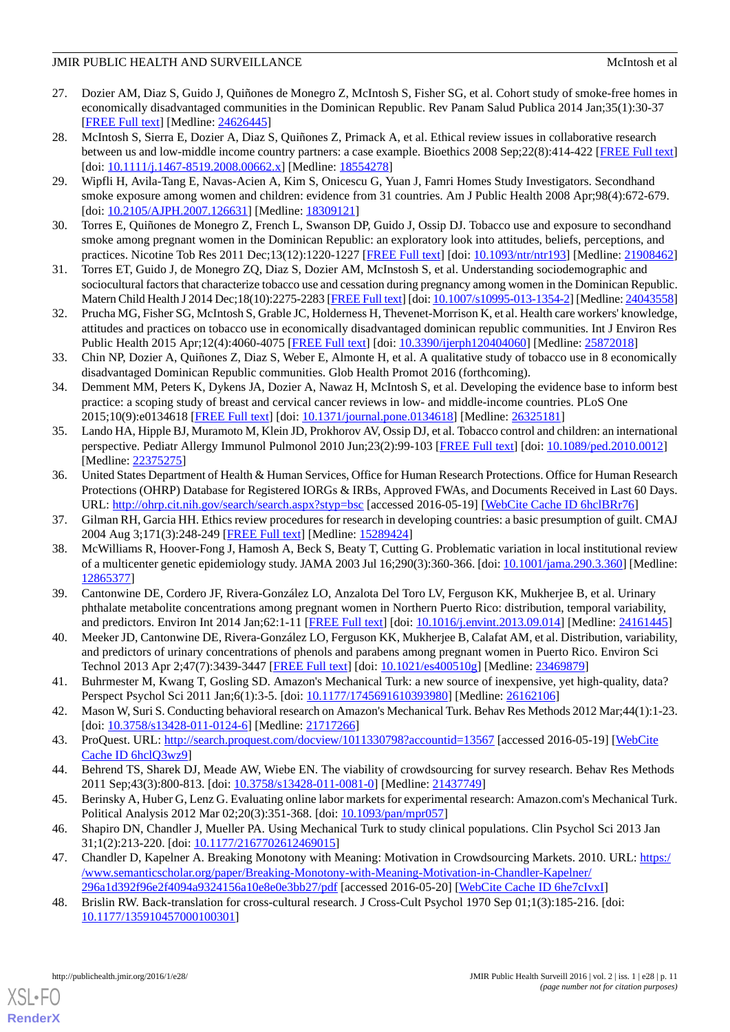## JMIR PUBLIC HEALTH AND SURVEILLANCE SERVICE SERVICES AND SURVEILLANCE SERVICES AND MCINTOSh et al.

- <span id="page-10-5"></span>27. Dozier AM, Diaz S, Guido J, Quiñones de Monegro Z, McIntosh S, Fisher SG, et al. Cohort study of smoke-free homes in economically disadvantaged communities in the Dominican Republic. Rev Panam Salud Publica 2014 Jan;35(1):30-37 [[FREE Full text](http://www.scielosp.org/scielo.php?script=sci_arttext&pid=S1020-49892014000100005&lng=en&nrm=iso&tlng=en)] [Medline: [24626445](http://www.ncbi.nlm.nih.gov/entrez/query.fcgi?cmd=Retrieve&db=PubMed&list_uids=24626445&dopt=Abstract)]
- <span id="page-10-1"></span>28. McIntosh S, Sierra E, Dozier A, Diaz S, Quiñones Z, Primack A, et al. Ethical review issues in collaborative research between us and low-middle income country partners: a case example. Bioethics 2008 Sep;22(8):414-422 [\[FREE Full text](http://europepmc.org/abstract/MED/18554278)] [doi: [10.1111/j.1467-8519.2008.00662.x](http://dx.doi.org/10.1111/j.1467-8519.2008.00662.x)] [Medline: [18554278](http://www.ncbi.nlm.nih.gov/entrez/query.fcgi?cmd=Retrieve&db=PubMed&list_uids=18554278&dopt=Abstract)]
- 29. Wipfli H, Avila-Tang E, Navas-Acien A, Kim S, Onicescu G, Yuan J, Famri Homes Study Investigators. Secondhand smoke exposure among women and children: evidence from 31 countries. Am J Public Health 2008 Apr;98(4):672-679. [doi: [10.2105/AJPH.2007.126631](http://dx.doi.org/10.2105/AJPH.2007.126631)] [Medline: [18309121\]](http://www.ncbi.nlm.nih.gov/entrez/query.fcgi?cmd=Retrieve&db=PubMed&list_uids=18309121&dopt=Abstract)
- 30. Torres E, Quiñones de Monegro Z, French L, Swanson DP, Guido J, Ossip DJ. Tobacco use and exposure to secondhand smoke among pregnant women in the Dominican Republic: an exploratory look into attitudes, beliefs, perceptions, and practices. Nicotine Tob Res 2011 Dec;13(12):1220-1227 [\[FREE Full text](http://europepmc.org/abstract/MED/21908462)] [doi: [10.1093/ntr/ntr193\]](http://dx.doi.org/10.1093/ntr/ntr193) [Medline: [21908462](http://www.ncbi.nlm.nih.gov/entrez/query.fcgi?cmd=Retrieve&db=PubMed&list_uids=21908462&dopt=Abstract)]
- 31. Torres ET, Guido J, de Monegro ZQ, Diaz S, Dozier AM, McInstosh S, et al. Understanding sociodemographic and sociocultural factors that characterize tobacco use and cessation during pregnancy among women in the Dominican Republic. Matern Child Health J 2014 Dec;18(10):2275-2283 [\[FREE Full text\]](http://europepmc.org/abstract/MED/24043558) [doi: [10.1007/s10995-013-1354-2\]](http://dx.doi.org/10.1007/s10995-013-1354-2) [Medline: [24043558\]](http://www.ncbi.nlm.nih.gov/entrez/query.fcgi?cmd=Retrieve&db=PubMed&list_uids=24043558&dopt=Abstract)
- 32. Prucha MG, Fisher SG, McIntosh S, Grable JC, Holderness H, Thevenet-Morrison K, et al. Health care workers' knowledge, attitudes and practices on tobacco use in economically disadvantaged dominican republic communities. Int J Environ Res Public Health 2015 Apr;12(4):4060-4075 [\[FREE Full text\]](http://www.mdpi.com/resolver?pii=ijerph120404060) [doi: [10.3390/ijerph120404060](http://dx.doi.org/10.3390/ijerph120404060)] [Medline: [25872018](http://www.ncbi.nlm.nih.gov/entrez/query.fcgi?cmd=Retrieve&db=PubMed&list_uids=25872018&dopt=Abstract)]
- 33. Chin NP, Dozier A, Quiñones Z, Diaz S, Weber E, Almonte H, et al. A qualitative study of tobacco use in 8 economically disadvantaged Dominican Republic communities. Glob Health Promot 2016 (forthcoming).
- <span id="page-10-0"></span>34. Demment MM, Peters K, Dykens JA, Dozier A, Nawaz H, McIntosh S, et al. Developing the evidence base to inform best practice: a scoping study of breast and cervical cancer reviews in low- and middle-income countries. PLoS One 2015;10(9):e0134618 [\[FREE Full text](http://dx.plos.org/10.1371/journal.pone.0134618)] [doi: [10.1371/journal.pone.0134618\]](http://dx.doi.org/10.1371/journal.pone.0134618) [Medline: [26325181\]](http://www.ncbi.nlm.nih.gov/entrez/query.fcgi?cmd=Retrieve&db=PubMed&list_uids=26325181&dopt=Abstract)
- <span id="page-10-2"></span>35. Lando HA, Hipple BJ, Muramoto M, Klein JD, Prokhorov AV, Ossip DJ, et al. Tobacco control and children: an international perspective. Pediatr Allergy Immunol Pulmonol 2010 Jun;23(2):99-103 [[FREE Full text](http://europepmc.org/abstract/MED/22375275)] [doi: [10.1089/ped.2010.0012](http://dx.doi.org/10.1089/ped.2010.0012)] [Medline: [22375275](http://www.ncbi.nlm.nih.gov/entrez/query.fcgi?cmd=Retrieve&db=PubMed&list_uids=22375275&dopt=Abstract)]
- <span id="page-10-4"></span><span id="page-10-3"></span>36. United States Department of Health & Human Services, Office for Human Research Protections. Office for Human Research Protections (OHRP) Database for Registered IORGs & IRBs, Approved FWAs, and Documents Received in Last 60 Days. URL: <http://ohrp.cit.nih.gov/search/search.aspx?styp=bsc> [accessed 2016-05-19] [[WebCite Cache ID 6hclBRr76\]](http://www.webcitation.org/

                                6hclBRr76)
- <span id="page-10-6"></span>37. Gilman RH, Garcia HH. Ethics review procedures for research in developing countries: a basic presumption of guilt. CMAJ 2004 Aug 3;171(3):248-249 [\[FREE Full text\]](http://www.cmaj.ca/cgi/pmidlookup?view=long&pmid=15289424) [Medline: [15289424](http://www.ncbi.nlm.nih.gov/entrez/query.fcgi?cmd=Retrieve&db=PubMed&list_uids=15289424&dopt=Abstract)]
- 38. McWilliams R, Hoover-Fong J, Hamosh A, Beck S, Beaty T, Cutting G. Problematic variation in local institutional review of a multicenter genetic epidemiology study. JAMA 2003 Jul 16;290(3):360-366. [doi: [10.1001/jama.290.3.360\]](http://dx.doi.org/10.1001/jama.290.3.360) [Medline: [12865377](http://www.ncbi.nlm.nih.gov/entrez/query.fcgi?cmd=Retrieve&db=PubMed&list_uids=12865377&dopt=Abstract)]
- <span id="page-10-8"></span><span id="page-10-7"></span>39. Cantonwine DE, Cordero JF, Rivera-González LO, Anzalota Del Toro LV, Ferguson KK, Mukherjee B, et al. Urinary phthalate metabolite concentrations among pregnant women in Northern Puerto Rico: distribution, temporal variability, and predictors. Environ Int 2014 Jan;62:1-11 [[FREE Full text](http://europepmc.org/abstract/MED/24161445)] [doi: [10.1016/j.envint.2013.09.014](http://dx.doi.org/10.1016/j.envint.2013.09.014)] [Medline: [24161445](http://www.ncbi.nlm.nih.gov/entrez/query.fcgi?cmd=Retrieve&db=PubMed&list_uids=24161445&dopt=Abstract)]
- 40. Meeker JD, Cantonwine DE, Rivera-González LO, Ferguson KK, Mukherjee B, Calafat AM, et al. Distribution, variability, and predictors of urinary concentrations of phenols and parabens among pregnant women in Puerto Rico. Environ Sci Technol 2013 Apr 2;47(7):3439-3447 [\[FREE Full text](http://europepmc.org/abstract/MED/23469879)] [doi: [10.1021/es400510g](http://dx.doi.org/10.1021/es400510g)] [Medline: [23469879](http://www.ncbi.nlm.nih.gov/entrez/query.fcgi?cmd=Retrieve&db=PubMed&list_uids=23469879&dopt=Abstract)]
- <span id="page-10-10"></span><span id="page-10-9"></span>41. Buhrmester M, Kwang T, Gosling SD. Amazon's Mechanical Turk: a new source of inexpensive, yet high-quality, data? Perspect Psychol Sci 2011 Jan;6(1):3-5. [doi: [10.1177/1745691610393980](http://dx.doi.org/10.1177/1745691610393980)] [Medline: [26162106](http://www.ncbi.nlm.nih.gov/entrez/query.fcgi?cmd=Retrieve&db=PubMed&list_uids=26162106&dopt=Abstract)]
- <span id="page-10-11"></span>42. Mason W, Suri S. Conducting behavioral research on Amazon's Mechanical Turk. Behav Res Methods 2012 Mar;44(1):1-23. [doi: [10.3758/s13428-011-0124-6](http://dx.doi.org/10.3758/s13428-011-0124-6)] [Medline: [21717266\]](http://www.ncbi.nlm.nih.gov/entrez/query.fcgi?cmd=Retrieve&db=PubMed&list_uids=21717266&dopt=Abstract)
- 43. ProQuest. URL:<http://search.proquest.com/docview/1011330798?accountid=13567> [accessed 2016-05-19] [\[WebCite](http://www.webcitation.org/

                 6hclQ3wz9) [Cache ID 6hclQ3wz9](http://www.webcitation.org/

                                6hclQ3wz9)]
- <span id="page-10-12"></span>44. Behrend TS, Sharek DJ, Meade AW, Wiebe EN. The viability of crowdsourcing for survey research. Behav Res Methods 2011 Sep;43(3):800-813. [doi: [10.3758/s13428-011-0081-0](http://dx.doi.org/10.3758/s13428-011-0081-0)] [Medline: [21437749\]](http://www.ncbi.nlm.nih.gov/entrez/query.fcgi?cmd=Retrieve&db=PubMed&list_uids=21437749&dopt=Abstract)
- <span id="page-10-13"></span>45. Berinsky A, Huber G, Lenz G. Evaluating online labor markets for experimental research: Amazon.com's Mechanical Turk. Political Analysis 2012 Mar 02;20(3):351-368. [doi: [10.1093/pan/mpr057](http://dx.doi.org/10.1093/pan/mpr057)]
- 46. Shapiro DN, Chandler J, Mueller PA. Using Mechanical Turk to study clinical populations. Clin Psychol Sci 2013 Jan 31;1(2):213-220. [doi: [10.1177/2167702612469015\]](http://dx.doi.org/10.1177/2167702612469015)
- 47. Chandler D, Kapelner A. Breaking Monotony with Meaning: Motivation in Crowdsourcing Markets. 2010. URL: [https:/](https://www.semanticscholar.org/paper/Breaking-Monotony-with-Meaning-Motivation-in-Chandler-Kapelner/296a1d392f96e2f4094a9324156a10e8e0e3bb27/pdf) [/www.semanticscholar.org/paper/Breaking-Monotony-with-Meaning-Motivation-in-Chandler-Kapelner/](https://www.semanticscholar.org/paper/Breaking-Monotony-with-Meaning-Motivation-in-Chandler-Kapelner/296a1d392f96e2f4094a9324156a10e8e0e3bb27/pdf) [296a1d392f96e2f4094a9324156a10e8e0e3bb27/pdf](https://www.semanticscholar.org/paper/Breaking-Monotony-with-Meaning-Motivation-in-Chandler-Kapelner/296a1d392f96e2f4094a9324156a10e8e0e3bb27/pdf) [accessed 2016-05-20] [\[WebCite Cache ID 6he7cIvxI\]](http://www.webcitation.org/

                                6he7cIvxI)
- 48. Brislin RW. Back-translation for cross-cultural research. J Cross-Cult Psychol 1970 Sep 01;1(3):185-216. [doi: [10.1177/135910457000100301\]](http://dx.doi.org/10.1177/135910457000100301)